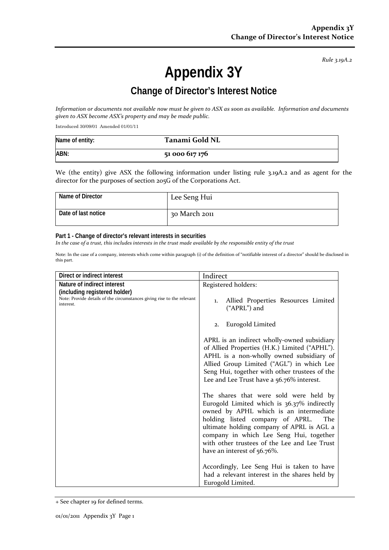*Rule 3.19A.2*

# **Appendix 3Y**

## **Change of Director's Interest Notice**

*Information or documents not available now must be given to ASX as soon as available. Information and documents given to ASX become ASX's property and may be made public.*

Introduced 30/09/01 Amended 01/01/11

| Name of entity: | Tanami Gold NL |
|-----------------|----------------|
| ABN:            | 51 000 617 176 |

We (the entity) give ASX the following information under listing rule 3.19A.2 and as agent for the director for the purposes of section 205G of the Corporations Act.

| Name of Director    | Lee Seng Hui  |
|---------------------|---------------|
| Date of last notice | 30 March 2011 |

#### **Part 1 - Change of director's relevant interests in securities**

*In the case of a trust, this includes interests in the trust made available by the responsible entity of the trust*

Note: In the case of a company, interests which come within paragraph (i) of the definition of "notifiable interest of a director" should be disclosed in this part.

| Direct or indirect interest                                                                                          | Indirect                                                                                                                                                                                                                                                                                                                                         |
|----------------------------------------------------------------------------------------------------------------------|--------------------------------------------------------------------------------------------------------------------------------------------------------------------------------------------------------------------------------------------------------------------------------------------------------------------------------------------------|
| Nature of indirect interest                                                                                          | Registered holders:                                                                                                                                                                                                                                                                                                                              |
| (including registered holder)<br>Note: Provide details of the circumstances giving rise to the relevant<br>interest. | Allied Properties Resources Limited<br>1.<br>("APRL") and                                                                                                                                                                                                                                                                                        |
|                                                                                                                      | Eurogold Limited<br>2.                                                                                                                                                                                                                                                                                                                           |
|                                                                                                                      | APRL is an indirect wholly-owned subsidiary<br>of Allied Properties (H.K.) Limited ("APHL").<br>APHL is a non-wholly owned subsidiary of<br>Allied Group Limited ("AGL") in which Lee<br>Seng Hui, together with other trustees of the<br>Lee and Lee Trust have a 56.76% interest.                                                              |
|                                                                                                                      | The shares that were sold were held by<br>Eurogold Limited which is 36.37% indirectly<br>owned by APHL which is an intermediate<br>holding listed company of APRL.<br>The<br>ultimate holding company of APRL is AGL a<br>company in which Lee Seng Hui, together<br>with other trustees of the Lee and Lee Trust<br>have an interest of 56.76%. |
|                                                                                                                      | Accordingly, Lee Seng Hui is taken to have<br>had a relevant interest in the shares held by<br>Eurogold Limited.                                                                                                                                                                                                                                 |

<sup>+</sup> See chapter 19 for defined terms.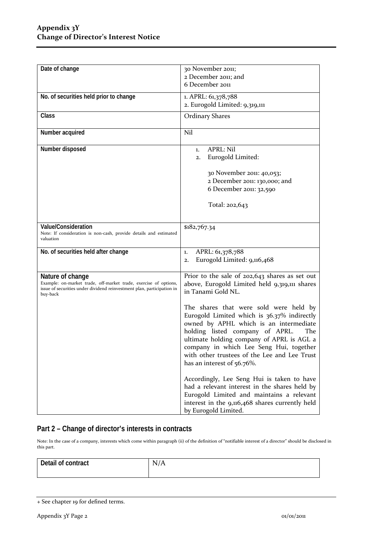| Date of change                                                                                                                                                             | 30 November 2011;<br>2 December 2011; and                                                                                                                                                                                                                                                                                                       |  |
|----------------------------------------------------------------------------------------------------------------------------------------------------------------------------|-------------------------------------------------------------------------------------------------------------------------------------------------------------------------------------------------------------------------------------------------------------------------------------------------------------------------------------------------|--|
|                                                                                                                                                                            | 6 December 2011                                                                                                                                                                                                                                                                                                                                 |  |
| No. of securities held prior to change                                                                                                                                     | 1. APRL: 61,378,788<br>2. Eurogold Limited: 9,319,111                                                                                                                                                                                                                                                                                           |  |
| Class                                                                                                                                                                      | <b>Ordinary Shares</b>                                                                                                                                                                                                                                                                                                                          |  |
| Number acquired                                                                                                                                                            | Nil                                                                                                                                                                                                                                                                                                                                             |  |
| Number disposed                                                                                                                                                            | <b>APRL: Nil</b><br>1.<br>Eurogold Limited:<br>2.<br>30 November 2011: 40,053;<br>2 December 2011: 130,000; and<br>6 December 2011: 32,590<br>Total: 202,643                                                                                                                                                                                    |  |
| Value/Consideration<br>Note: If consideration is non-cash, provide details and estimated<br>valuation                                                                      | \$182,767.34                                                                                                                                                                                                                                                                                                                                    |  |
| No. of securities held after change                                                                                                                                        | APRL: 61,378,788<br>1.<br>Eurogold Limited: 9,116,468<br>2.                                                                                                                                                                                                                                                                                     |  |
| Nature of change<br>Example: on-market trade, off-market trade, exercise of options,<br>issue of securities under dividend reinvestment plan, participation in<br>buy-back | Prior to the sale of 202,643 shares as set out<br>above, Eurogold Limited held 9,319,111 shares<br>in Tanami Gold NL.                                                                                                                                                                                                                           |  |
|                                                                                                                                                                            | The shares that were sold were held by<br>Eurogold Limited which is 36.37% indirectly<br>owned by APHL which is an intermediate<br>holding listed company of APRL.<br>The<br>ultimate holding company of APRL is AGL a<br>company in which Lee Seng Hui, together<br>with other trustees of the Lee and Lee Trust<br>has an interest of 56.76%. |  |
|                                                                                                                                                                            | Accordingly, Lee Seng Hui is taken to have<br>had a relevant interest in the shares held by<br>Eurogold Limited and maintains a relevant<br>interest in the 9,116,468 shares currently held<br>by Eurogold Limited.                                                                                                                             |  |

### **Part 2 – Change of director's interests in contracts**

Note: In the case of a company, interests which come within paragraph (ii) of the definition of "notifiable interest of a director" should be disclosed in this part.

| Detail of contract | N<br>А<br>$\frac{1}{2}$<br>$\overline{\phantom{a}}$ |
|--------------------|-----------------------------------------------------|
|                    |                                                     |

<sup>+</sup> See chapter 19 for defined terms.